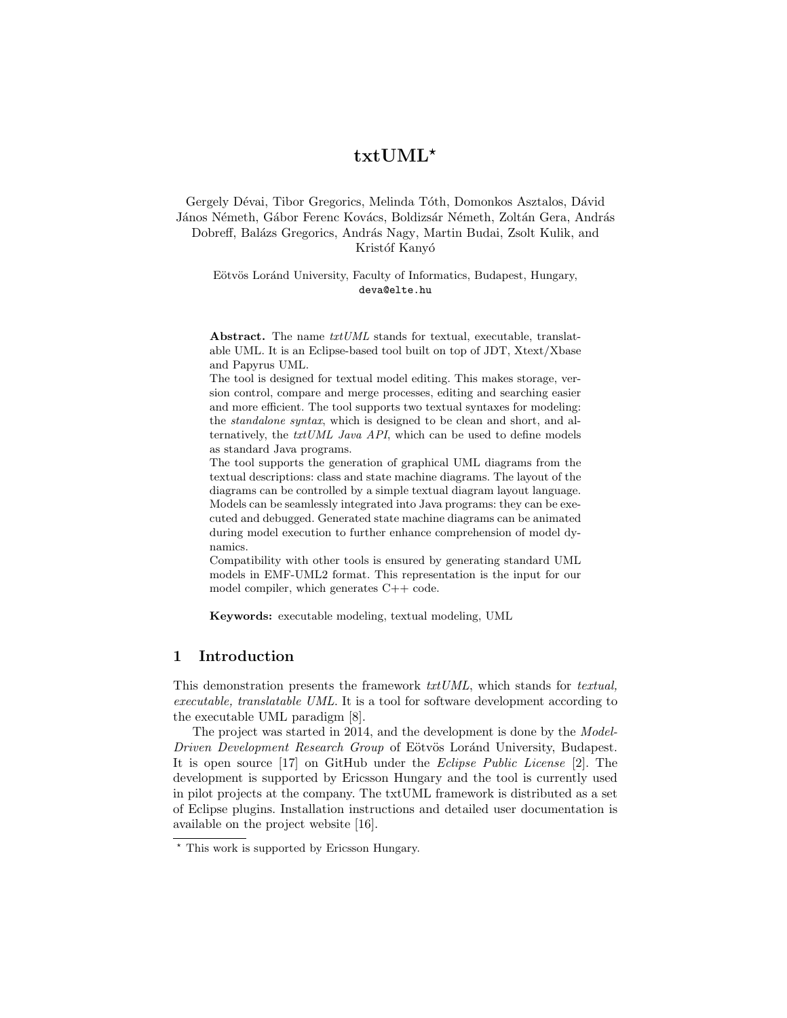# txtUML?

#### Gergely Dévai, Tibor Gregorics, Melinda Tóth, Domonkos Asztalos, Dávid János Németh, Gábor Ferenc Kovács, Boldizsár Németh, Zoltán Gera, András Dobreff, Balázs Gregorics, András Nagy, Martin Budai, Zsolt Kulik, and Kristóf Kanyó

#### Eötvös Loránd University, Faculty of Informatics, Budapest, Hungary, deva@elte.hu

Abstract. The name  $txtUML$  stands for textual, executable, translatable UML. It is an Eclipse-based tool built on top of JDT, Xtext/Xbase and Papyrus UML.

The tool is designed for textual model editing. This makes storage, version control, compare and merge processes, editing and searching easier and more efficient. The tool supports two textual syntaxes for modeling: the standalone syntax, which is designed to be clean and short, and alternatively, the txtUML Java API, which can be used to define models as standard Java programs.

The tool supports the generation of graphical UML diagrams from the textual descriptions: class and state machine diagrams. The layout of the diagrams can be controlled by a simple textual diagram layout language. Models can be seamlessly integrated into Java programs: they can be executed and debugged. Generated state machine diagrams can be animated during model execution to further enhance comprehension of model dynamics.

Compatibility with other tools is ensured by generating standard UML models in EMF-UML2 format. This representation is the input for our model compiler, which generates C++ code.

Keywords: executable modeling, textual modeling, UML

# 1 Introduction

This demonstration presents the framework txtUML, which stands for textual, executable, translatable UML. It is a tool for software development according to the executable UML paradigm [8].

The project was started in 2014, and the development is done by the *Model*-Driven Development Research Group of Eötvös Loránd University, Budapest. It is open source [17] on GitHub under the Eclipse Public License [2]. The development is supported by Ericsson Hungary and the tool is currently used in pilot projects at the company. The txtUML framework is distributed as a set of Eclipse plugins. Installation instructions and detailed user documentation is available on the project website [16].

<sup>?</sup> This work is supported by Ericsson Hungary.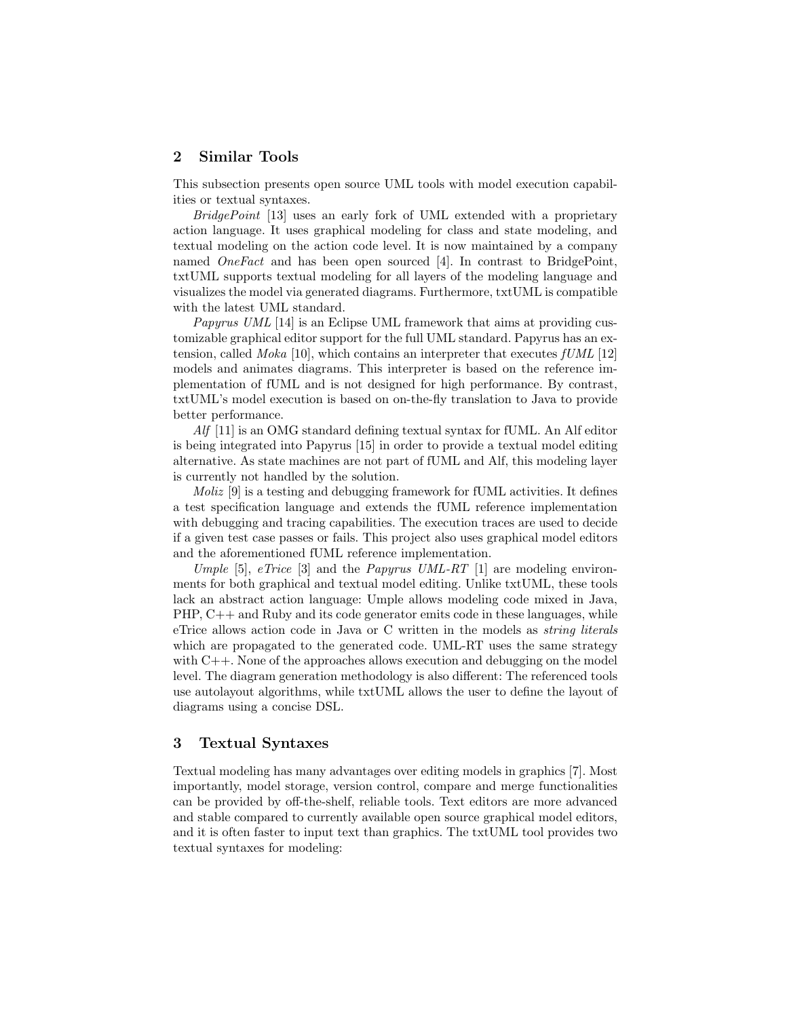## 2 Similar Tools

This subsection presents open source UML tools with model execution capabilities or textual syntaxes.

BridgePoint [13] uses an early fork of UML extended with a proprietary action language. It uses graphical modeling for class and state modeling, and textual modeling on the action code level. It is now maintained by a company named OneFact and has been open sourced [4]. In contrast to BridgePoint, txtUML supports textual modeling for all layers of the modeling language and visualizes the model via generated diagrams. Furthermore, txtUML is compatible with the latest UML standard.

Papyrus UML [14] is an Eclipse UML framework that aims at providing customizable graphical editor support for the full UML standard. Papyrus has an extension, called *Moka* [10], which contains an interpreter that executes  $fUML$  [12] models and animates diagrams. This interpreter is based on the reference implementation of fUML and is not designed for high performance. By contrast, txtUML's model execution is based on on-the-fly translation to Java to provide better performance.

 $Alf$  [11] is an OMG standard defining textual syntax for fUML. An Alf editor is being integrated into Papyrus [15] in order to provide a textual model editing alternative. As state machines are not part of fUML and Alf, this modeling layer is currently not handled by the solution.

Moliz [9] is a testing and debugging framework for fUML activities. It defines a test specification language and extends the fUML reference implementation with debugging and tracing capabilities. The execution traces are used to decide if a given test case passes or fails. This project also uses graphical model editors and the aforementioned fUML reference implementation.

Umple [5], eTrice [3] and the Papyrus UML-RT [1] are modeling environments for both graphical and textual model editing. Unlike txtUML, these tools lack an abstract action language: Umple allows modeling code mixed in Java, PHP, C++ and Ruby and its code generator emits code in these languages, while eTrice allows action code in Java or C written in the models as string literals which are propagated to the generated code. UML-RT uses the same strategy with  $C_{++}$ . None of the approaches allows execution and debugging on the model level. The diagram generation methodology is also different: The referenced tools use autolayout algorithms, while txtUML allows the user to define the layout of diagrams using a concise DSL.

#### 3 Textual Syntaxes

Textual modeling has many advantages over editing models in graphics [7]. Most importantly, model storage, version control, compare and merge functionalities can be provided by off-the-shelf, reliable tools. Text editors are more advanced and stable compared to currently available open source graphical model editors, and it is often faster to input text than graphics. The txtUML tool provides two textual syntaxes for modeling: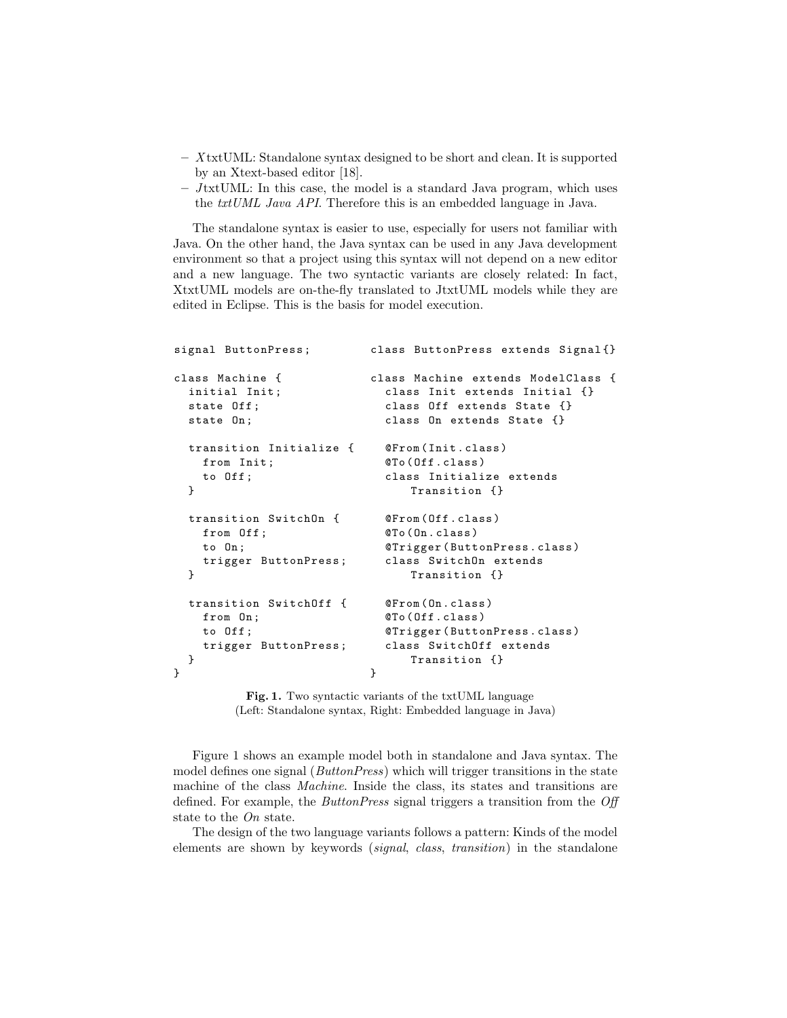- X txtUML: Standalone syntax designed to be short and clean. It is supported by an Xtext-based editor [18].
- $-$  JtxtUML: In this case, the model is a standard Java program, which uses the txtUML Java API. Therefore this is an embedded language in Java.

The standalone syntax is easier to use, especially for users not familiar with Java. On the other hand, the Java syntax can be used in any Java development environment so that a project using this syntax will not depend on a new editor and a new language. The two syntactic variants are closely related: In fact, XtxtUML models are on-the-fly translated to JtxtUML models while they are edited in Eclipse. This is the basis for model execution.

```
signal ButtonPress ;
class Machine {
  initial Init ;
  state Off ;
  state On ;
  transition Initialize {
    from Init ;
    to Off ;
  }
  transition SwitchOn {
    from Off ;
    to On ;
    trigger ButtonPress ;
  }
  transition SwitchOff {
    from On ;
    to Off ;
    trigger ButtonPress ;
  }
}
                              class ButtonPress extends Signal {}
                              class Machine extends ModelClass {
                                class Init extends Initial {}
                                 class Off extends State {}
                                 class On extends State {}
                                 @From ( Init . class )
                                 @To ( Off . class )
                                 class Initialize extends
                                    Transition {}
                                 @From ( Off . class )
                                 @To ( On . class )
                                 @Trigger ( ButtonPress . class )
                                 class SwitchOn extends
                                     Transition {}
                                 @From ( On . class )
                                 @To ( Off . class )
                                 @Trigger ( ButtonPress . class )
                                 class SwitchOff extends
                                     Transition {}
                              }
```
Fig. 1. Two syntactic variants of the txtUML language (Left: Standalone syntax, Right: Embedded language in Java)

Figure 1 shows an example model both in standalone and Java syntax. The model defines one signal (*ButtonPress*) which will trigger transitions in the state machine of the class Machine. Inside the class, its states and transitions are defined. For example, the *ButtonPress* signal triggers a transition from the *Off* state to the On state.

The design of the two language variants follows a pattern: Kinds of the model elements are shown by keywords (signal, class, transition) in the standalone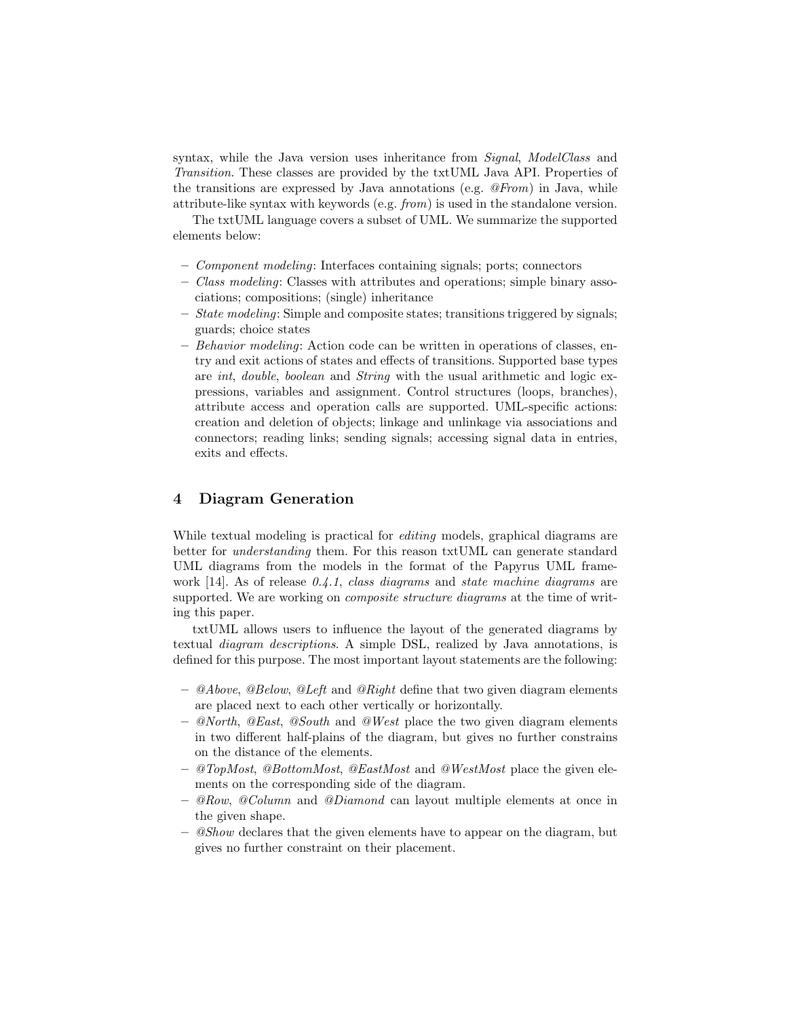syntax, while the Java version uses inheritance from *Signal*, ModelClass and Transition. These classes are provided by the txtUML Java API. Properties of the transitions are expressed by Java annotations (e.g.  $@From$ ) in Java, while attribute-like syntax with keywords (e.g. from) is used in the standalone version.

The txtUML language covers a subset of UML. We summarize the supported elements below:

- Component modeling: Interfaces containing signals; ports; connectors
- Class modeling: Classes with attributes and operations; simple binary associations; compositions; (single) inheritance
- $-$  *State modeling:* Simple and composite states; transitions triggered by signals; guards; choice states
- $-$  Behavior modeling: Action code can be written in operations of classes, entry and exit actions of states and effects of transitions. Supported base types are int, double, boolean and String with the usual arithmetic and logic expressions, variables and assignment. Control structures (loops, branches), attribute access and operation calls are supported. UML-specific actions: creation and deletion of objects; linkage and unlinkage via associations and connectors; reading links; sending signals; accessing signal data in entries, exits and effects.

# 4 Diagram Generation

While textual modeling is practical for *editing* models, graphical diagrams are better for understanding them. For this reason txtUML can generate standard UML diagrams from the models in the format of the Papyrus UML framework [14]. As of release  $0.4.1$ , class diagrams and state machine diagrams are supported. We are working on *composite structure diagrams* at the time of writing this paper.

txtUML allows users to influence the layout of the generated diagrams by textual diagram descriptions. A simple DSL, realized by Java annotations, is defined for this purpose. The most important layout statements are the following:

- $-$  @Above, @Below, @Left and @Right define that two given diagram elements are placed next to each other vertically or horizontally.
- $-$  @North, @East, @South and @West place the two given diagram elements in two different half-plains of the diagram, but gives no further constrains on the distance of the elements.
- $-$  @TopMost, @BottomMost, @EastMost and @WestMost place the given elements on the corresponding side of the diagram.
- $-$  @Row, @Column and @Diamond can layout multiple elements at once in the given shape.
- $-$  @Show declares that the given elements have to appear on the diagram, but gives no further constraint on their placement.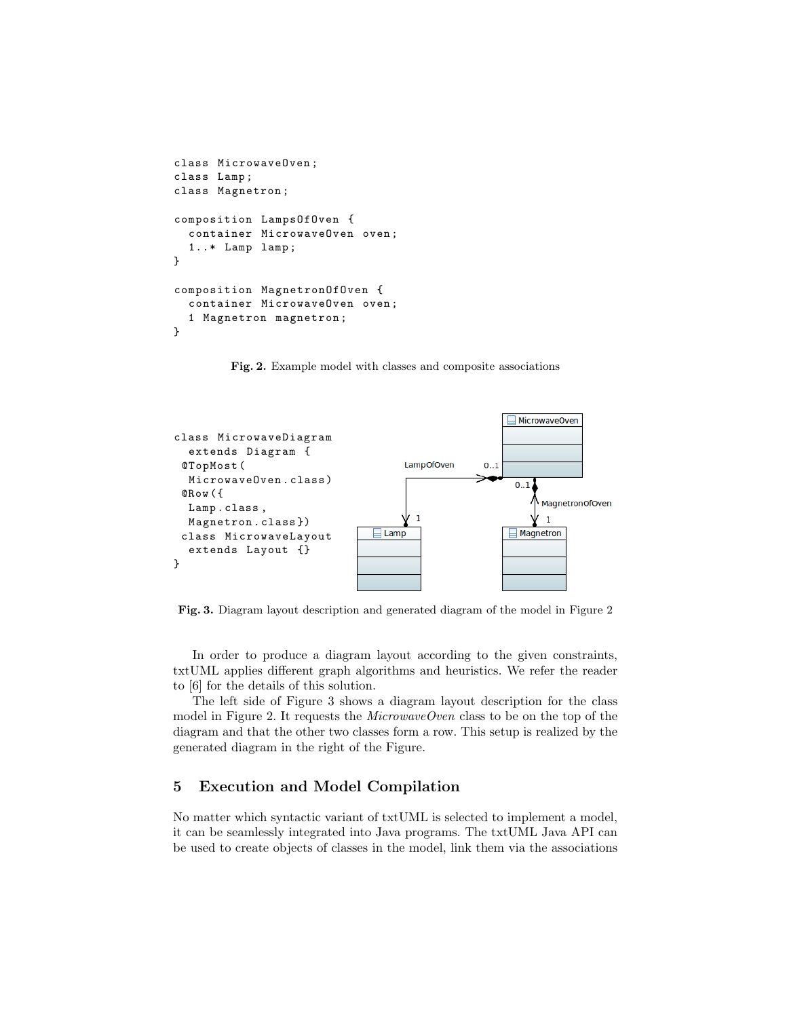```
class MicrowaveOven ;
class Lamp ;
class Magnetron ;
composition LampsOfOven {
  container MicrowaveOven oven ;
  1..* Lamp lamp ;
}
composition MagnetronOfOven {
  container MicrowaveOven oven ;
  1 Magnetron magnetron ;
}
```
Fig. 2. Example model with classes and composite associations



Fig. 3. Diagram layout description and generated diagram of the model in Figure 2

In order to produce a diagram layout according to the given constraints, txtUML applies different graph algorithms and heuristics. We refer the reader to [6] for the details of this solution.

The left side of Figure 3 shows a diagram layout description for the class model in Figure 2. It requests the  $MicrowaveOven$  class to be on the top of the diagram and that the other two classes form a row. This setup is realized by the generated diagram in the right of the Figure.

## 5 Execution and Model Compilation

No matter which syntactic variant of txtUML is selected to implement a model, it can be seamlessly integrated into Java programs. The txtUML Java API can be used to create objects of classes in the model, link them via the associations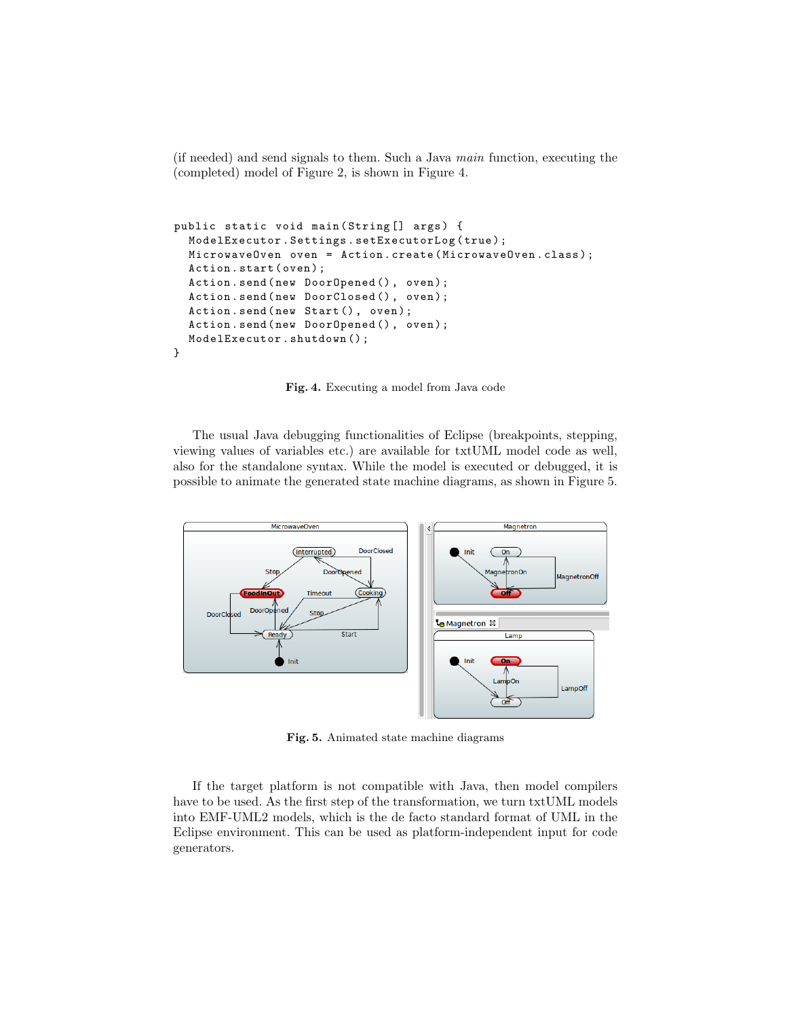(if needed) and send signals to them. Such a Java main function, executing the (completed) model of Figure 2, is shown in Figure 4.

```
public static void main (String [] args) {
  ModelExecutor . Settings . setExecutorLog ( true ) ;
  MicrowaveOven oven = Action . create ( MicrowaveOven . class ) ;
  Action.start (oven);
  Action . send ( new DoorOpened () , oven ) ;
  Action.send (new DoorClosed (), oven);
  Action.send (new Start (), oven);
  Action . send ( new DoorOpened () , oven ) ;
  ModelExecutor . shutdown () ;
}
```
Fig. 4. Executing a model from Java code

The usual Java debugging functionalities of Eclipse (breakpoints, stepping, viewing values of variables etc.) are available for txtUML model code as well, also for the standalone syntax. While the model is executed or debugged, it is possible to animate the generated state machine diagrams, as shown in Figure 5.



Fig. 5. Animated state machine diagrams

If the target platform is not compatible with Java, then model compilers have to be used. As the first step of the transformation, we turn txtUML models into EMF-UML2 models, which is the de facto standard format of UML in the Eclipse environment. This can be used as platform-independent input for code generators.